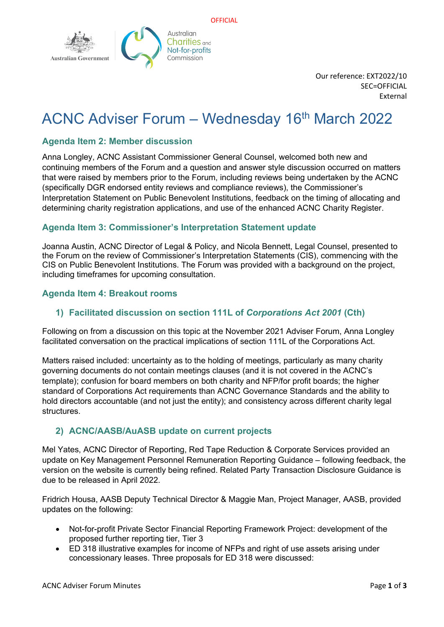

Our reference: EXT2022/10 SEC=OFFICIAL External

# ACNC Adviser Forum – Wednesday 16<sup>th</sup> March 2022

## **Agenda Item 2: Member discussion**

Anna Longley, ACNC Assistant Commissioner General Counsel, welcomed both new and continuing members of the Forum and a question and answer style discussion occurred on matters that were raised by members prior to the Forum, including reviews being undertaken by the ACNC (specifically DGR endorsed entity reviews and compliance reviews), the Commissioner's Interpretation Statement on Public Benevolent Institutions, feedback on the timing of allocating and determining charity registration applications, and use of the enhanced ACNC Charity Register.

## **Agenda Item 3: Commissioner's Interpretation Statement update**

Joanna Austin, ACNC Director of Legal & Policy, and Nicola Bennett, Legal Counsel, presented to the Forum on the review of Commissioner's Interpretation Statements (CIS), commencing with the CIS on Public Benevolent Institutions. The Forum was provided with a background on the project, including timeframes for upcoming consultation.

## **Agenda Item 4: Breakout rooms**

#### **1) Facilitated discussion on section 111L of** *Corporations Act 2001* **(Cth)**

Following on from a discussion on this topic at the November 2021 Adviser Forum, Anna Longley facilitated conversation on the practical implications of section 111L of the Corporations Act.

Matters raised included: uncertainty as to the holding of meetings, particularly as many charity governing documents do not contain meetings clauses (and it is not covered in the ACNC's template); confusion for board members on both charity and NFP/for profit boards; the higher standard of Corporations Act requirements than ACNC Governance Standards and the ability to hold directors accountable (and not just the entity); and consistency across different charity legal structures.

#### **2) ACNC/AASB/AuASB update on current projects**

Mel Yates, ACNC Director of Reporting, Red Tape Reduction & Corporate Services provided an update on Key Management Personnel Remuneration Reporting Guidance – following feedback, the version on the website is currently being refined. Related Party Transaction Disclosure Guidance is due to be released in April 2022.

Fridrich Housa, AASB Deputy Technical Director & Maggie Man, Project Manager, AASB, provided updates on the following:

- Not-for-profit Private Sector Financial Reporting Framework Project: development of the proposed further reporting tier, Tier 3
- ED 318 illustrative examples for income of NFPs and right of use assets arising under concessionary leases. Three proposals for ED 318 were discussed: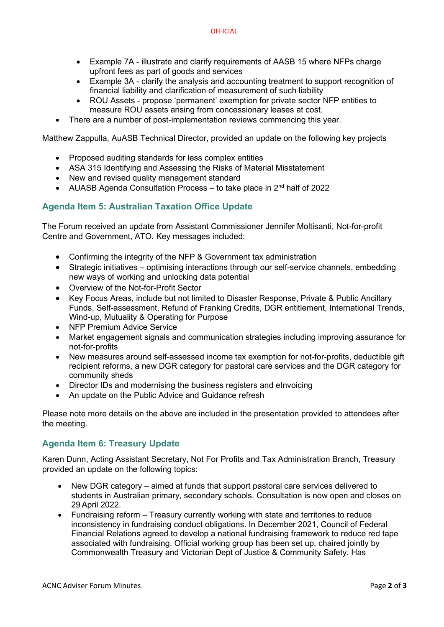- Example 7A illustrate and clarify requirements of AASB 15 where NFPs charge upfront fees as part of goods and services
- Example 3A clarify the analysis and accounting treatment to support recognition of financial liability and clarification of measurement of such liability
- ROU Assets propose 'permanent' exemption for private sector NFP entities to measure ROU assets arising from concessionary leases at cost.
- There are a number of post-implementation reviews commencing this year.

Matthew Zappulla, AuASB Technical Director, provided an update on the following key projects

- Proposed auditing standards for less complex entities
- ASA 315 Identifying and Assessing the Risks of Material Misstatement
- New and revised quality management standard
- AUASB Agenda Consultation Process to take place in  $2<sup>nd</sup>$  half of 2022

## **Agenda Item 5: Australian Taxation Office Update**

The Forum received an update from Assistant Commissioner Jennifer Moltisanti, Not-for-profit Centre and Government, ATO. Key messages included:

- Confirming the integrity of the NFP & Government tax administration
- Strategic initiatives optimising interactions through our self-service channels, embedding new ways of working and unlocking data potential
- Overview of the Not-for-Profit Sector
- Key Focus Areas, include but not limited to Disaster Response, Private & Public Ancillary Funds, Self-assessment, Refund of Franking Credits, DGR entitlement, International Trends, Wind-up, Mutuality & Operating for Purpose
- NFP Premium Advice Service
- Market engagement signals and communication strategies including improving assurance for not-for-profits
- New measures around self-assessed income tax exemption for not-for-profits, deductible gift recipient reforms, a new DGR category for pastoral care services and the DGR category for community sheds
- Director IDs and modernising the business registers and eInvoicing
- An update on the Public Advice and Guidance refresh

Please note more details on the above are included in the presentation provided to attendees after the meeting.

# **Agenda Item 6: Treasury Update**

Karen Dunn, Acting Assistant Secretary, Not For Profits and Tax Administration Branch, Treasury provided an update on the following topics:

- New DGR category aimed at funds that support pastoral care services delivered to students in Australian primary, secondary schools. Consultation is now open and closes on 29 April 2022.
- Fundraising reform Treasury currently working with state and territories to reduce inconsistency in fundraising conduct obligations. In December 2021, Council of Federal Financial Relations agreed to develop a national fundraising framework to reduce red tape associated with fundraising. Official working group has been set up, chaired jointly by Commonwealth Treasury and Victorian Dept of Justice & Community Safety. Has